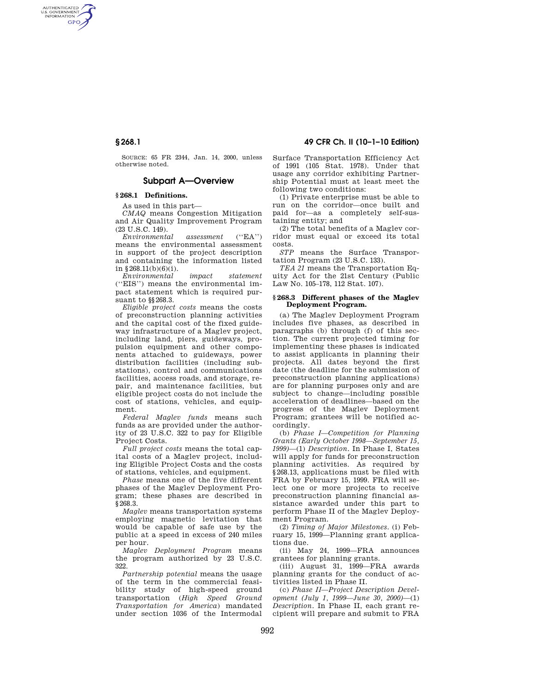# **§ 268.1 49 CFR Ch. II (10–1–10 Edition)**

AUTHENTICATED<br>U.S. GOVERNMENT<br>INFORMATION **GPO** 

> SOURCE: 65 FR 2344, Jan. 14, 2000, unless otherwise noted.

## **Subpart A—Overview**

### **§ 268.1 Definitions.**

As used in this part—

*CMAQ* means Congestion Mitigation and Air Quality Improvement Program (23 U.S.C. 149).

*Environmental assessment* (''EA'') means the environmental assessment in support of the project description and containing the information listed in  $$268.11(b)(6)(i)$ .

*Environmental impact statement*  (''EIS'') means the environmental impact statement which is required pursuant to §§268.3.

*Eligible project costs* means the costs of preconstruction planning activities and the capital cost of the fixed guideway infrastructure of a Maglev project, including land, piers, guideways, propulsion equipment and other components attached to guideways, power distribution facilities (including substations), control and communications facilities, access roads, and storage, repair, and maintenance facilities, but eligible project costs do not include the cost of stations, vehicles, and equipment.

*Federal Maglev funds* means such funds as are provided under the authority of 23 U.S.C. 322 to pay for Eligible Project Costs.

*Full project costs* means the total capital costs of a Maglev project, including Eligible Project Costs and the costs of stations, vehicles, and equipment.

*Phase* means one of the five different phases of the Maglev Deployment Program; these phases are described in §268.3.

*Maglev* means transportation systems employing magnetic levitation that would be capable of safe use by the public at a speed in excess of 240 miles per hour.

*Maglev Deployment Program* means the program authorized by 23 U.S.C. 322.

*Partnership potential* means the usage of the term in the commercial feasibility study of high-speed ground transportation (*High Speed Ground Transportation for America*) mandated under section 1036 of the Intermodal Surface Transportation Efficiency Act of 1991 (105 Stat. 1978). Under that usage any corridor exhibiting Partnership Potential must at least meet the following two conditions:

(1) Private enterprise must be able to run on the corridor—once built and paid for—as a completely self-sustaining entity; and

(2) The total benefits of a Maglev corridor must equal or exceed its total costs.

*STP* means the Surface Transportation Program (23 U.S.C. 133).

*TEA 21* means the Transportation Equity Act for the 21st Century (Public Law No. 105–178, 112 Stat. 107).

#### **§ 268.3 Different phases of the Maglev Deployment Program.**

(a) The Maglev Deployment Program includes five phases, as described in paragraphs (b) through (f) of this section. The current projected timing for implementing these phases is indicated to assist applicants in planning their projects. All dates beyond the first date (the deadline for the submission of preconstruction planning applications) are for planning purposes only and are subject to change—including possible acceleration of deadlines—based on the progress of the Maglev Deployment Program; grantees will be notified accordingly.

(b) *Phase I—Competition for Planning Grants (Early October 1998—September 15, 1999)*—(1) *Description.* In Phase I, States will apply for funds for preconstruction planning activities. As required by §268.13, applications must be filed with FRA by February 15, 1999. FRA will select one or more projects to receive preconstruction planning financial assistance awarded under this part to perform Phase II of the Maglev Deployment Program.

(2) *Timing of Major Milestones.* (i) February 15, 1999—Planning grant applications due.

(ii) May 24, 1999—FRA announces grantees for planning grants.

(iii) August 31, 1999—FRA awards planning grants for the conduct of activities listed in Phase II.

(c) *Phase II—Project Description Development (July 1, 1999—June 30, 2000)*—(1) *Description.* In Phase II, each grant recipient will prepare and submit to FRA